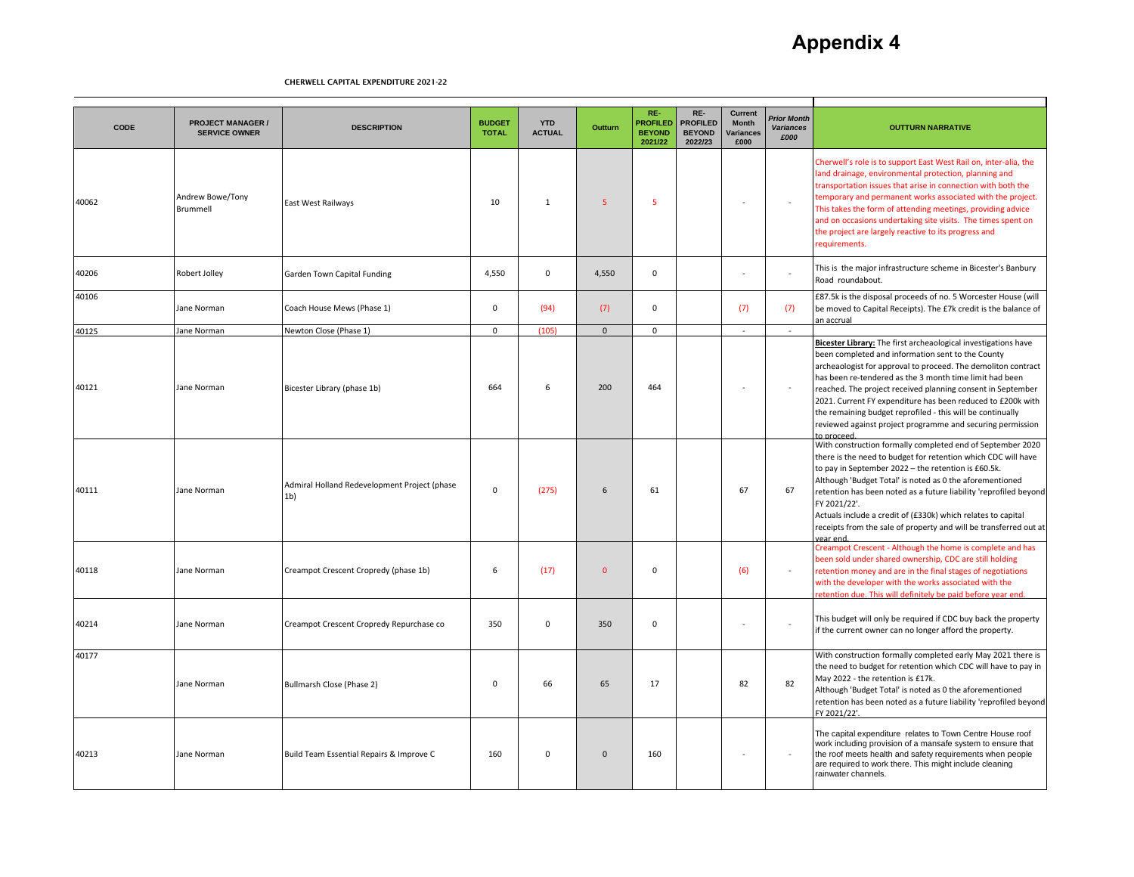# **Appendix 4**

| CODE  | <b>PROJECT MANAGER /</b><br><b>SERVICE OWNER</b> | <b>DESCRIPTION</b>                                             | <b>BUDGET</b><br><b>TOTAL</b> | <b>YTD</b><br><b>ACTUAL</b> | Outturn        | RE-<br><b>PROFILED</b><br><b>BEYOND</b><br>2021/22 | RE-<br><b>PROFILED</b><br><b>BEYOND</b><br>2022/23 | <b>Current</b><br>Month<br>Variances<br>£000 | <b>Prior Month</b><br><b>Variances</b><br>£000 | <b>OUTTURN NARRATIVE</b>                                                                                                                                                                                                                                                                                                                                                                                                                                                                                                |
|-------|--------------------------------------------------|----------------------------------------------------------------|-------------------------------|-----------------------------|----------------|----------------------------------------------------|----------------------------------------------------|----------------------------------------------|------------------------------------------------|-------------------------------------------------------------------------------------------------------------------------------------------------------------------------------------------------------------------------------------------------------------------------------------------------------------------------------------------------------------------------------------------------------------------------------------------------------------------------------------------------------------------------|
| 40062 | Andrew Bowe/Tony<br>Brummell                     | East West Railways                                             | 10                            | $\mathbf{1}$                | 5 <sup>1</sup> | -5                                                 |                                                    | $\sim$                                       |                                                | Cherwell's role is to support East West Rail on, inter-alia, the<br>land drainage, environmental protection, planning and<br>transportation issues that arise in connection with both the<br>temporary and permanent works associated with the project.<br>This takes the form of attending meetings, providing advice<br>and on occasions undertaking site visits. The times spent on<br>the project are largely reactive to its progress and<br>requirements.                                                         |
| 40206 | Robert Jolley                                    | Garden Town Capital Funding                                    | 4,550                         | $\mathbf 0$                 | 4,550          | $\mathbf 0$                                        |                                                    |                                              |                                                | This is the major infrastructure scheme in Bicester's Banbury<br>Road roundabout.                                                                                                                                                                                                                                                                                                                                                                                                                                       |
| 40106 | Jane Norman                                      | Coach House Mews (Phase 1)                                     | $\mathbf 0$                   | (94)                        | (7)            | $\mathbf 0$                                        |                                                    | (7)                                          | (7)                                            | £87.5k is the disposal proceeds of no. 5 Worcester House (will<br>be moved to Capital Receipts). The £7k credit is the balance of<br>an accrual                                                                                                                                                                                                                                                                                                                                                                         |
| 40125 | Jane Norman                                      | Newton Close (Phase 1)                                         | $\mathbf 0$                   | (105)                       | $\mathbf{0}$   | $\mathbf 0$                                        |                                                    | $\sim$                                       | $\sim$                                         |                                                                                                                                                                                                                                                                                                                                                                                                                                                                                                                         |
| 40121 | Jane Norman                                      | Bicester Library (phase 1b)                                    | 664                           | 6                           | 200            | 464                                                |                                                    |                                              |                                                | Bicester Library: The first archeaological investigations have<br>been completed and information sent to the County<br>archeaologist for approval to proceed. The demoliton contract<br>has been re-tendered as the 3 month time limit had been<br>reached. The project received planning consent in September<br>2021. Current FY expenditure has been reduced to £200k with<br>the remaining budget reprofiled - this will be continually<br>reviewed against project programme and securing permission<br>to proceed |
| 40111 | Jane Norman                                      | Admiral Holland Redevelopment Project (phase<br>1 <sub>b</sub> | $\mathbf 0$                   | (275)                       | 6              | 61                                                 |                                                    | 67                                           | 67                                             | With construction formally completed end of September 2020<br>there is the need to budget for retention which CDC will have<br>to pay in September 2022 - the retention is £60.5k.<br>Although 'Budget Total' is noted as 0 the aforementioned<br>retention has been noted as a future liability 'reprofiled beyond<br>FY 2021/22'.<br>Actuals include a credit of (£330k) which relates to capital<br>receipts from the sale of property and will be transferred out at<br>vear end.                                   |
| 40118 | Jane Norman                                      | Creampot Crescent Cropredy (phase 1b)                          | 6                             | (17)                        | $\overline{0}$ | $\mathbf 0$                                        |                                                    | (6)                                          |                                                | Creampot Crescent - Although the home is complete and has<br>been sold under shared ownership, CDC are still holding<br>retention money and are in the final stages of negotiations<br>with the developer with the works associated with the<br>etention due. This will definitely be paid before year end.                                                                                                                                                                                                             |
| 40214 | Jane Norman                                      | Creampot Crescent Cropredy Repurchase co                       | 350                           | $\Omega$                    | 350            | $\Omega$                                           |                                                    |                                              |                                                | This budget will only be required if CDC buy back the property<br>if the current owner can no longer afford the property.                                                                                                                                                                                                                                                                                                                                                                                               |
| 40177 | Jane Norman                                      | Bullmarsh Close (Phase 2)                                      | $\mathbf 0$                   | 66                          | 65             | 17                                                 |                                                    | 82                                           | 82                                             | With construction formally completed early May 2021 there is<br>the need to budget for retention which CDC will have to pay in<br>May 2022 - the retention is £17k.<br>Although 'Budget Total' is noted as 0 the aforementioned<br>retention has been noted as a future liability 'reprofiled beyond<br>FY 2021/22'.                                                                                                                                                                                                    |
| 40213 | Jane Norman                                      | Build Team Essential Repairs & Improve C                       | 160                           | $\mathbf 0$                 | $\mathbf{0}$   | 160                                                |                                                    |                                              |                                                | The capital expenditure relates to Town Centre House roof<br>work including provision of a mansafe system to ensure that<br>the roof meets health and safety requirements when people<br>are required to work there. This might include cleaning<br>rainwater channels.                                                                                                                                                                                                                                                 |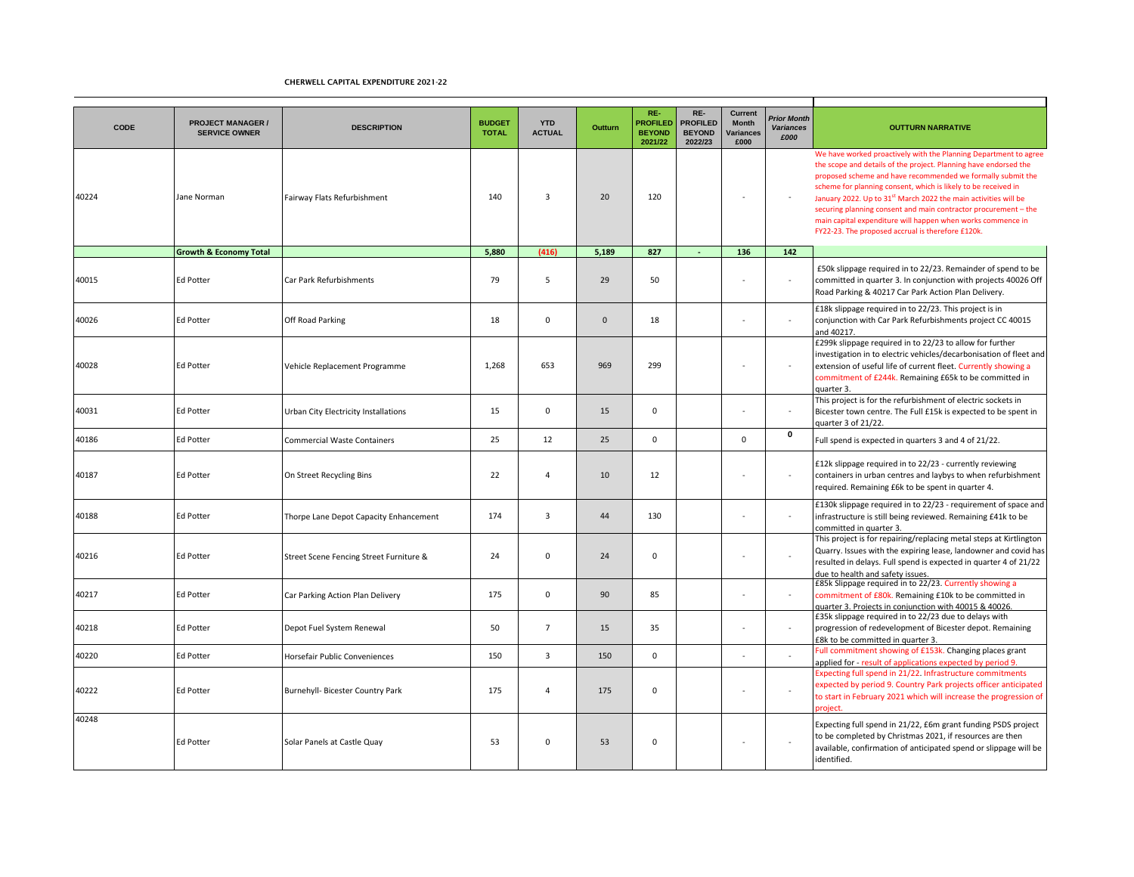| CODE  | <b>PROJECT MANAGER /</b><br><b>SERVICE OWNER</b> | <b>DESCRIPTION</b>                      | <b>BUDGET</b><br><b>TOTAL</b> | <b>YTD</b><br><b>ACTUAL</b> | Outturn  | RE-<br><b>PROFILED</b><br><b>BEYOND</b><br>2021/22 | RE-<br><b>PROFILED</b><br><b>BEYOND</b><br>2022/23 | <b>Current</b><br><b>Month</b><br>Variances<br>£000 | <b>Prior Month</b><br><b>Variances</b><br>£000 | <b>OUTTURN NARRATIVE</b>                                                                                                                                                                                                                                                                                                                                                                                                                                                                                                                    |
|-------|--------------------------------------------------|-----------------------------------------|-------------------------------|-----------------------------|----------|----------------------------------------------------|----------------------------------------------------|-----------------------------------------------------|------------------------------------------------|---------------------------------------------------------------------------------------------------------------------------------------------------------------------------------------------------------------------------------------------------------------------------------------------------------------------------------------------------------------------------------------------------------------------------------------------------------------------------------------------------------------------------------------------|
| 40224 | Jane Norman                                      | Fairway Flats Refurbishment             | 140                           | $\overline{3}$              | 20       | 120                                                |                                                    |                                                     |                                                | We have worked proactively with the Planning Department to agree<br>the scope and details of the project. Planning have endorsed the<br>proposed scheme and have recommended we formally submit the<br>scheme for planning consent, which is likely to be received in<br>January 2022. Up to 31 <sup>st</sup> March 2022 the main activities will be<br>securing planning consent and main contractor procurement - the<br>main capital expenditure will happen when works commence in<br>FY22-23. The proposed accrual is therefore £120k. |
|       | <b>Growth &amp; Economy Total</b>                |                                         | 5,880                         | (416)                       | 5,189    | 827                                                |                                                    | 136                                                 | 142                                            |                                                                                                                                                                                                                                                                                                                                                                                                                                                                                                                                             |
| 40015 | <b>Ed Potter</b>                                 | Car Park Refurbishments                 | 79                            | 5                           | 29       | 50                                                 |                                                    |                                                     | $\sim$                                         | £50k slippage required in to 22/23. Remainder of spend to be<br>committed in quarter 3. In conjunction with projects 40026 Off<br>Road Parking & 40217 Car Park Action Plan Delivery.                                                                                                                                                                                                                                                                                                                                                       |
| 40026 | <b>Ed Potter</b>                                 | Off Road Parking                        | 18                            | $\Omega$                    | $\Omega$ | 18                                                 |                                                    |                                                     |                                                | £18k slippage required in to 22/23. This project is in<br>conjunction with Car Park Refurbishments project CC 40015<br>and 40217.                                                                                                                                                                                                                                                                                                                                                                                                           |
| 40028 | <b>Ed Potter</b>                                 | Vehicle Replacement Programme           | 1,268                         | 653                         | 969      | 299                                                |                                                    |                                                     |                                                | £299k slippage required in to 22/23 to allow for further<br>investigation in to electric vehicles/decarbonisation of fleet and<br>extension of useful life of current fleet. Currently showing a<br>commitment of £244k. Remaining £65k to be committed in<br>quarter 3.                                                                                                                                                                                                                                                                    |
| 40031 | <b>Ed Potter</b>                                 | Urban City Electricity Installations    | 15                            | $\Omega$                    | 15       | $\mathbf 0$                                        |                                                    |                                                     |                                                | This project is for the refurbishment of electric sockets in<br>Bicester town centre. The Full £15k is expected to be spent in<br>quarter 3 of 21/22.                                                                                                                                                                                                                                                                                                                                                                                       |
| 40186 | <b>Ed Potter</b>                                 | <b>Commercial Waste Containers</b>      | 25                            | 12                          | 25       | $\mathbf 0$                                        |                                                    | $\Omega$                                            | 0                                              | Full spend is expected in quarters 3 and 4 of 21/22.                                                                                                                                                                                                                                                                                                                                                                                                                                                                                        |
| 40187 | <b>Ed Potter</b>                                 | On Street Recycling Bins                | 22                            | $\overline{4}$              | 10       | 12                                                 |                                                    |                                                     |                                                | £12k slippage required in to 22/23 - currently reviewing<br>containers in urban centres and laybys to when refurbishment<br>required. Remaining £6k to be spent in quarter 4.                                                                                                                                                                                                                                                                                                                                                               |
| 40188 | <b>Ed Potter</b>                                 | Thorpe Lane Depot Capacity Enhancement  | 174                           | 3                           | 44       | 130                                                |                                                    |                                                     | $\sim$                                         | £130k slippage required in to 22/23 - requirement of space and<br>infrastructure is still being reviewed. Remaining £41k to be<br>committed in quarter 3.                                                                                                                                                                                                                                                                                                                                                                                   |
| 40216 | <b>Ed Potter</b>                                 | Street Scene Fencing Street Furniture & | 24                            | $\mathsf 0$                 | 24       | $\mathbf 0$                                        |                                                    |                                                     |                                                | This project is for repairing/replacing metal steps at Kirtlington<br>Quarry. Issues with the expiring lease, landowner and covid has<br>resulted in delays. Full spend is expected in quarter 4 of 21/22<br>due to health and safety issues.                                                                                                                                                                                                                                                                                               |
| 40217 | <b>Ed Potter</b>                                 | Car Parking Action Plan Delivery        | 175                           | $\mathbf 0$                 | 90       | 85                                                 |                                                    |                                                     |                                                | £85k Slippage required in to 22/23. Currently showing a<br>commitment of £80k. Remaining £10k to be committed in<br>quarter 3. Projects in conjunction with 40015 & 40026.                                                                                                                                                                                                                                                                                                                                                                  |
| 40218 | <b>Ed Potter</b>                                 | Depot Fuel System Renewal               | 50                            | $\overline{7}$              | 15       | 35                                                 |                                                    | - 11                                                |                                                | £35k slippage required in to 22/23 due to delays with<br>progression of redevelopment of Bicester depot. Remaining<br>£8k to be committed in quarter 3.                                                                                                                                                                                                                                                                                                                                                                                     |
| 40220 | <b>Ed Potter</b>                                 | Horsefair Public Conveniences           | 150                           | $\overline{3}$              | 150      | $\mathbf 0$                                        |                                                    |                                                     |                                                | Full commitment showing of £153k. Changing places grant<br>applied for - result of applications expected by period 9.                                                                                                                                                                                                                                                                                                                                                                                                                       |
| 40222 | <b>Ed Potter</b>                                 | Burnehyll- Bicester Country Park        | 175                           | $\overline{a}$              | 175      | $\mathbf 0$                                        |                                                    |                                                     |                                                | Expecting full spend in 21/22. Infrastructure commitments<br>expected by period 9. Country Park projects officer anticipated<br>to start in February 2021 which will increase the progression of<br>roject                                                                                                                                                                                                                                                                                                                                  |
| 40248 | <b>Ed Potter</b>                                 | Solar Panels at Castle Quay             | 53                            | $\Omega$                    | 53       | $\mathbf 0$                                        |                                                    | $\sim$                                              |                                                | Expecting full spend in 21/22, £6m grant funding PSDS project<br>to be completed by Christmas 2021, if resources are then<br>available, confirmation of anticipated spend or slippage will be<br>identified.                                                                                                                                                                                                                                                                                                                                |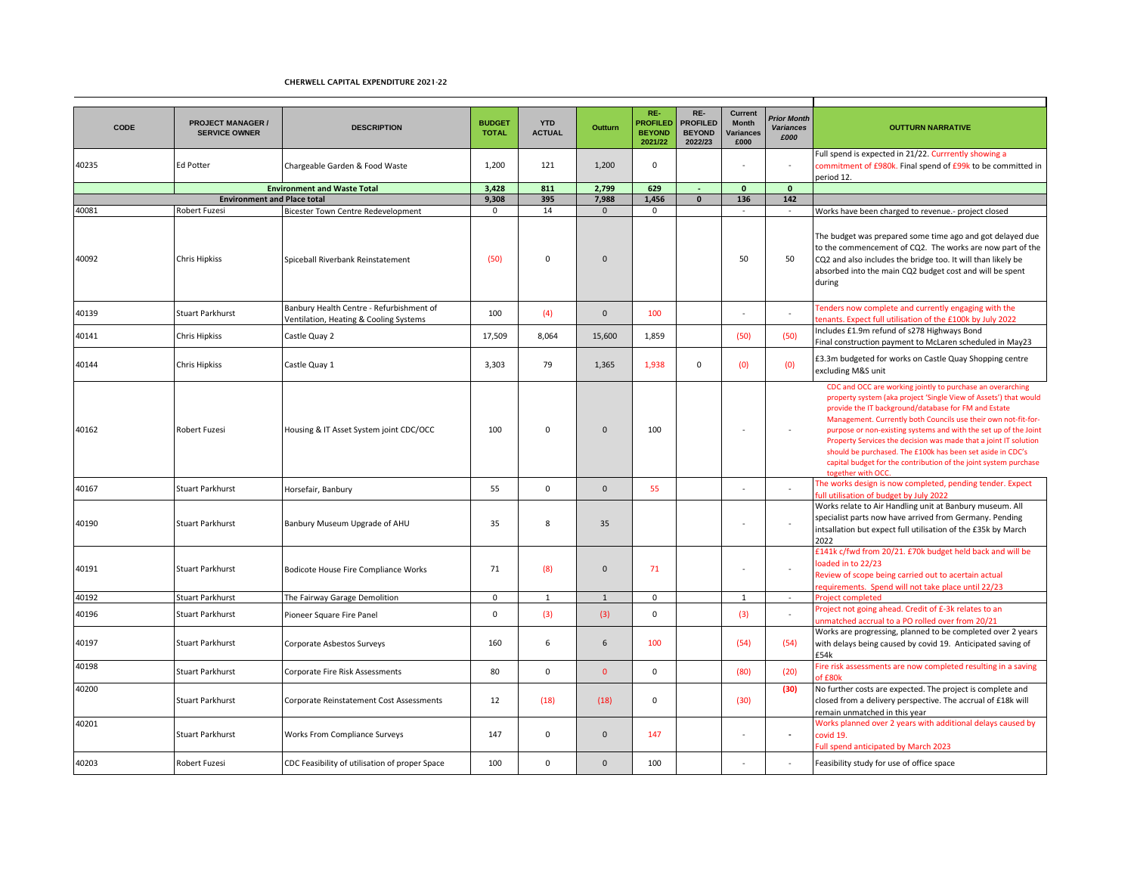| <b>CODE</b> | <b>PROJECT MANAGER /</b><br><b>SERVICE OWNER</b> | <b>DESCRIPTION</b>                                                                 | <b>BUDGET</b><br><b>TOTAL</b> | <b>YTD</b><br><b>ACTUAL</b> | <b>Outturn</b> | RE-<br><b>ROFILED</b><br><b>BEYOND</b><br>2021/22 | RE-<br><b>PROFILED</b><br><b>BEYOND</b><br>2022/23 | Current<br><b>Month</b><br>Variances<br>£000 | <b>Prior Month</b><br><b>Variances</b><br>£000 | <b>OUTTURN NARRATIVE</b>                                                                                                                                                                                                                                                                                                                                                                                                                                                                                                                                 |
|-------------|--------------------------------------------------|------------------------------------------------------------------------------------|-------------------------------|-----------------------------|----------------|---------------------------------------------------|----------------------------------------------------|----------------------------------------------|------------------------------------------------|----------------------------------------------------------------------------------------------------------------------------------------------------------------------------------------------------------------------------------------------------------------------------------------------------------------------------------------------------------------------------------------------------------------------------------------------------------------------------------------------------------------------------------------------------------|
| 40235       | <b>Ed Potter</b>                                 | Chargeable Garden & Food Waste                                                     | 1,200                         | 121                         | 1,200          | $\mathsf 0$                                       |                                                    |                                              | $\sim$                                         | Full spend is expected in 21/22. Currrently showing a<br>commitment of £980k. Final spend of £99k to be committed in<br>period 12.                                                                                                                                                                                                                                                                                                                                                                                                                       |
|             |                                                  | <b>Environment and Waste Total</b>                                                 | 3,428                         | 811                         | 2.799          | 629                                               |                                                    | $\mathbf{0}$                                 | $\mathbf{0}$                                   |                                                                                                                                                                                                                                                                                                                                                                                                                                                                                                                                                          |
|             | <b>Environment and Place total</b>               |                                                                                    | 9,308                         | 395                         | 7,988          | 1,456                                             | $\mathbf{0}$                                       | 136                                          | 142                                            |                                                                                                                                                                                                                                                                                                                                                                                                                                                                                                                                                          |
| 40081       | Robert Fuzesi                                    | <b>Bicester Town Centre Redevelopment</b>                                          | 0                             | 14                          | $\mathbf{0}$   | $\mathbf 0$                                       |                                                    |                                              | $\sim$                                         | Works have been charged to revenue.- project closed                                                                                                                                                                                                                                                                                                                                                                                                                                                                                                      |
| 40092       | <b>Chris Hipkiss</b>                             | Spiceball Riverbank Reinstatement                                                  | (50)                          | $\Omega$                    | $\Omega$       |                                                   |                                                    | 50                                           | 50                                             | The budget was prepared some time ago and got delayed due<br>to the commencement of CQ2. The works are now part of the<br>CQ2 and also includes the bridge too. It will than likely be<br>absorbed into the main CQ2 budget cost and will be spent<br>during                                                                                                                                                                                                                                                                                             |
| 40139       | <b>Stuart Parkhurst</b>                          | Banbury Health Centre - Refurbishment of<br>Ventilation, Heating & Cooling Systems | 100                           | (4)                         | $\mathbf{0}$   | 100                                               |                                                    |                                              |                                                | Fenders now complete and currently engaging with the<br>enants. Expect full utilisation of the £100k by July 2022                                                                                                                                                                                                                                                                                                                                                                                                                                        |
| 40141       | Chris Hipkiss                                    | Castle Quay 2                                                                      | 17,509                        | 8,064                       | 15,600         | 1,859                                             |                                                    | (50)                                         | (50)                                           | Includes £1.9m refund of s278 Highways Bond<br>Final construction payment to McLaren scheduled in May23                                                                                                                                                                                                                                                                                                                                                                                                                                                  |
| 40144       | <b>Chris Hipkiss</b>                             | Castle Quay 1                                                                      | 3,303                         | 79                          | 1,365          | 1,938                                             | $\mathbf 0$                                        | (0)                                          | (0)                                            | £3.3m budgeted for works on Castle Quay Shopping centre<br>excluding M&S unit                                                                                                                                                                                                                                                                                                                                                                                                                                                                            |
| 40162       | <b>Robert Fuzesi</b>                             | Housing & IT Asset System joint CDC/OCC                                            | 100                           | $\Omega$                    | $\mathbf{0}$   | 100                                               |                                                    |                                              |                                                | CDC and OCC are working jointly to purchase an overarching<br>property system (aka project 'Single View of Assets') that would<br>provide the IT background/database for FM and Estate<br>Management. Currently both Councils use their own not-fit-for-<br>purpose or non-existing systems and with the set up of the Joint<br>Property Services the decision was made that a joint IT solution<br>should be purchased. The £100k has been set aside in CDC's<br>capital budget for the contribution of the joint system purchase<br>together with OCC. |
| 40167       | <b>Stuart Parkhurst</b>                          | Horsefair, Banbury                                                                 | 55                            | $\mathbf 0$                 | $\mathbf{0}$   | 55                                                |                                                    |                                              |                                                | The works design is now completed, pending tender. Expect<br>ull utilisation of budget by July 2022                                                                                                                                                                                                                                                                                                                                                                                                                                                      |
| 40190       | <b>Stuart Parkhurst</b>                          | Banbury Museum Upgrade of AHU                                                      | 35                            | 8                           | 35             |                                                   |                                                    |                                              |                                                | Works relate to Air Handling unit at Banbury museum. All<br>specialist parts now have arrived from Germany. Pending<br>intsallation but expect full utilisation of the £35k by March<br>2022                                                                                                                                                                                                                                                                                                                                                             |
| 40191       | <b>Stuart Parkhurst</b>                          | Bodicote House Fire Compliance Works                                               | 71                            | (8)                         | $\mathbf{0}$   | 71                                                |                                                    |                                              | $\sim$                                         | £141k c/fwd from 20/21. £70k budget held back and will be<br>loaded in to 22/23<br>Review of scope being carried out to acertain actual<br>equirements. Spend will not take place until 22/23                                                                                                                                                                                                                                                                                                                                                            |
| 40192       | <b>Stuart Parkhurst</b>                          | The Fairway Garage Demolition                                                      | $\mathbf 0$                   | $\mathbf{1}$                | $\mathbf{1}$   | $\mathbf 0$                                       |                                                    | $\mathbf{1}$                                 | $\sim$                                         | Project completed                                                                                                                                                                                                                                                                                                                                                                                                                                                                                                                                        |
| 40196       | <b>Stuart Parkhurst</b>                          | Pioneer Square Fire Panel                                                          | $\Omega$                      | (3)                         | (3)            | $\mathbf 0$                                       |                                                    | (3)                                          |                                                | Project not going ahead. Credit of £-3k relates to an<br>unmatched accrual to a PO rolled over from 20/21                                                                                                                                                                                                                                                                                                                                                                                                                                                |
| 40197       | <b>Stuart Parkhurst</b>                          | Corporate Asbestos Surveys                                                         | 160                           | 6                           | 6              | 100                                               |                                                    | (54)                                         | (54)                                           | Works are progressing, planned to be completed over 2 years<br>with delays being caused by covid 19. Anticipated saving of<br>£54k                                                                                                                                                                                                                                                                                                                                                                                                                       |
| 40198       | <b>Stuart Parkhurst</b>                          | Corporate Fire Risk Assessments                                                    | 80                            | $\mathsf 0$                 | $\mathbf{0}$   | $\mathsf 0$                                       |                                                    | (80)                                         | (20)                                           | Fire risk assessments are now completed resulting in a saving<br>of £80k                                                                                                                                                                                                                                                                                                                                                                                                                                                                                 |
| 40200       | <b>Stuart Parkhurst</b>                          | Corporate Reinstatement Cost Assessments                                           | 12                            | (18)                        | (18)           | $\mathbf 0$                                       |                                                    | (30)                                         | (30)                                           | No further costs are expected. The project is complete and<br>closed from a delivery perspective. The accrual of £18k will<br>remain unmatched in this year                                                                                                                                                                                                                                                                                                                                                                                              |
| 40201       | <b>Stuart Parkhurst</b>                          | Works From Compliance Surveys                                                      | 147                           | $\Omega$                    | $\mathbf{0}$   | 147                                               |                                                    |                                              | $\blacksquare$                                 | Works planned over 2 years with additional delays caused by<br>covid 19.<br><b>Full spend anticipated by March 2023</b>                                                                                                                                                                                                                                                                                                                                                                                                                                  |
| 40203       | Robert Fuzesi                                    | CDC Feasibility of utilisation of proper Space                                     | 100                           | $\mathbf 0$                 | $\mathbf{0}$   | 100                                               |                                                    |                                              | ÷,                                             | Feasibility study for use of office space                                                                                                                                                                                                                                                                                                                                                                                                                                                                                                                |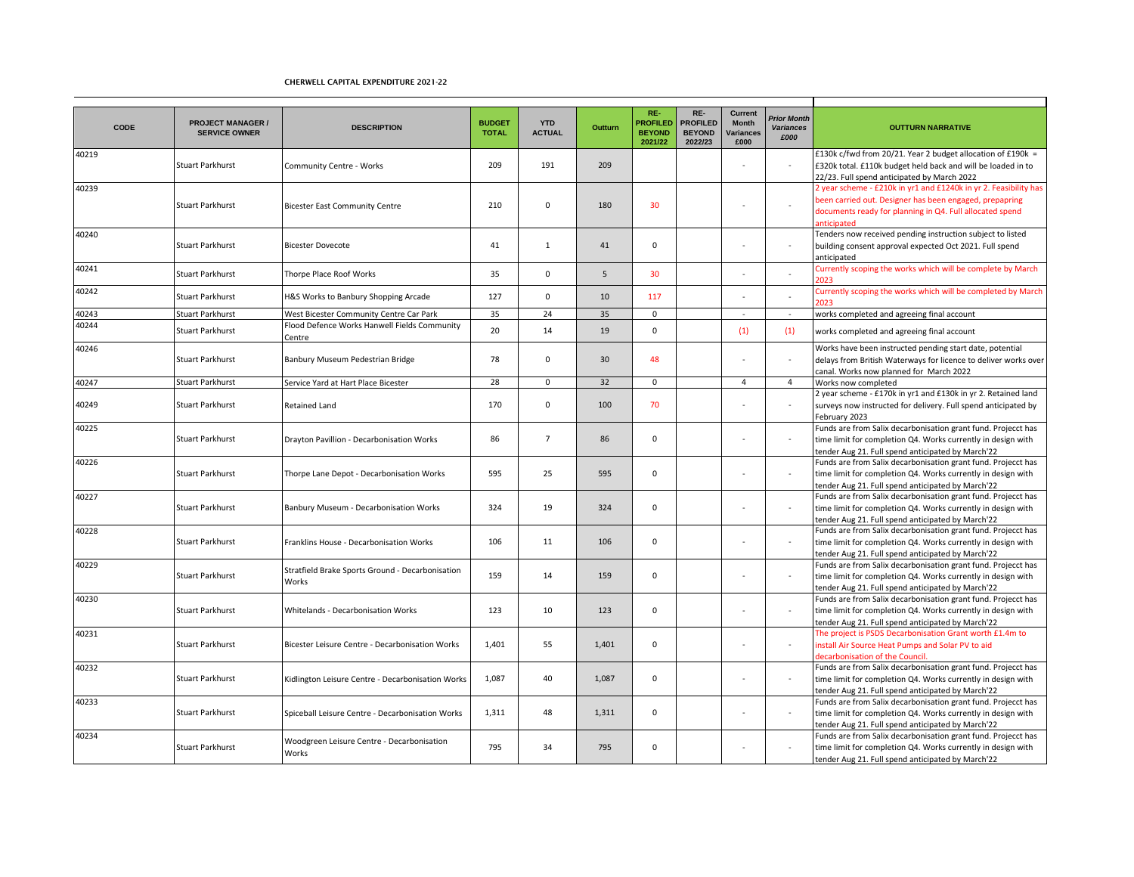| <b>CODE</b> | <b>PROJECT MANAGER /</b><br><b>SERVICE OWNER</b> | <b>DESCRIPTION</b>                                        | <b>BUDGET</b><br><b>TOTAL</b> | <b>YTD</b><br><b>ACTUAL</b> | Outturn | RE-<br><b>PROFILED</b><br><b>BEYOND</b><br>2021/22 | RE-<br><b>PROFILED</b><br><b>BEYOND</b><br>2022/23 | <b>Current</b><br><b>Month</b><br>Variances<br>£000 | <b>Prior Month</b><br><b>Variances</b><br>£000 | <b>OUTTURN NARRATIVE</b>                                                                                                                                                                                     |
|-------------|--------------------------------------------------|-----------------------------------------------------------|-------------------------------|-----------------------------|---------|----------------------------------------------------|----------------------------------------------------|-----------------------------------------------------|------------------------------------------------|--------------------------------------------------------------------------------------------------------------------------------------------------------------------------------------------------------------|
| 40219       | <b>Stuart Parkhurst</b>                          | Community Centre - Works                                  | 209                           | 191                         | 209     |                                                    |                                                    |                                                     | $\sim$                                         | £130k c/fwd from 20/21. Year 2 budget allocation of £190k =<br>£320k total. £110k budget held back and will be loaded in to<br>22/23. Full spend anticipated by March 2022                                   |
| 40239       | <b>Stuart Parkhurst</b>                          | <b>Bicester East Community Centre</b>                     | 210                           | $\Omega$                    | 180     | 30                                                 |                                                    |                                                     |                                                | 2 year scheme - £210k in yr1 and £1240k in yr 2. Feasibility has<br>been carried out. Designer has been engaged, prepapring<br>documents ready for planning in Q4. Full allocated spend<br><b>nticipated</b> |
| 40240       | <b>Stuart Parkhurst</b>                          | <b>Bicester Dovecote</b>                                  | 41                            | $\mathbf{1}$                | 41      | $\mathbf 0$                                        |                                                    |                                                     |                                                | Tenders now received pending instruction subject to listed<br>building consent approval expected Oct 2021. Full spend<br>anticipated                                                                         |
| 40241       | <b>Stuart Parkhurst</b>                          | Thorpe Place Roof Works                                   | 35                            | $\Omega$                    | 5       | 30                                                 |                                                    |                                                     |                                                | Currently scoping the works which will be complete by March<br>023                                                                                                                                           |
| 40242       | <b>Stuart Parkhurst</b>                          | H&S Works to Banbury Shopping Arcade                      | 127                           | $\mathbf 0$                 | 10      | 117                                                |                                                    |                                                     |                                                | Currently scoping the works which will be completed by March                                                                                                                                                 |
| 40243       | Stuart Parkhurst                                 | West Bicester Community Centre Car Park                   | 35                            | 24                          | 35      | $\mathbf 0$                                        |                                                    | $\overline{\phantom{a}}$                            | $\sim$                                         | works completed and agreeing final account                                                                                                                                                                   |
| 40244       | <b>Stuart Parkhurst</b>                          | Flood Defence Works Hanwell Fields Community<br>Centre    | 20                            | 14                          | 19      | $\mathbf 0$                                        |                                                    | (1)                                                 | (1)                                            | works completed and agreeing final account                                                                                                                                                                   |
| 40246       | <b>Stuart Parkhurst</b>                          | Banbury Museum Pedestrian Bridge                          | 78                            | $\mathbf 0$                 | 30      | 48                                                 |                                                    |                                                     | ÷                                              | Works have been instructed pending start date, potential<br>delays from British Waterways for licence to deliver works over<br>canal. Works now planned for March 2022                                       |
| 40247       | <b>Stuart Parkhurst</b>                          | Service Yard at Hart Place Bicester                       | 28                            | $\mathbf 0$                 | 32      | $\mathbf 0$                                        |                                                    | $\overline{a}$                                      | $\overline{4}$                                 | Works now completed                                                                                                                                                                                          |
| 40249       | <b>Stuart Parkhurst</b>                          | <b>Retained Land</b>                                      | 170                           | $\mathbf 0$                 | 100     | 70                                                 |                                                    |                                                     | $\sim$                                         | 2 year scheme - £170k in yr1 and £130k in yr 2. Retained land<br>surveys now instructed for delivery. Full spend anticipated by<br>February 2023                                                             |
| 40225       | <b>Stuart Parkhurst</b>                          | Drayton Pavillion - Decarbonisation Works                 | 86                            | $\overline{7}$              | 86      | $\mathbf 0$                                        |                                                    |                                                     |                                                | Funds are from Salix decarbonisation grant fund. Projecct has<br>time limit for completion Q4. Works currently in design with<br>tender Aug 21. Full spend anticipated by March'22                           |
| 40226       | <b>Stuart Parkhurst</b>                          | Thorpe Lane Depot - Decarbonisation Works                 | 595                           | 25                          | 595     | $\mathbf 0$                                        |                                                    |                                                     | $\sim$                                         | Funds are from Salix decarbonisation grant fund. Projecct has<br>time limit for completion Q4. Works currently in design with<br>tender Aug 21. Full spend anticipated by March'22                           |
| 40227       | <b>Stuart Parkhurst</b>                          | Banbury Museum - Decarbonisation Works                    | 324                           | 19                          | 324     | $\mathbf 0$                                        |                                                    |                                                     | $\sim$                                         | Funds are from Salix decarbonisation grant fund. Projecct has<br>time limit for completion Q4. Works currently in design with<br>tender Aug 21. Full spend anticipated by March'22                           |
| 40228       | <b>Stuart Parkhurst</b>                          | Franklins House - Decarbonisation Works                   | 106                           | 11                          | 106     | $\mathbf 0$                                        |                                                    |                                                     |                                                | Funds are from Salix decarbonisation grant fund. Projecct has<br>time limit for completion Q4. Works currently in design with<br>tender Aug 21. Full spend anticipated by March'22                           |
| 40229       | <b>Stuart Parkhurst</b>                          | Stratfield Brake Sports Ground - Decarbonisation<br>Works | 159                           | 14                          | 159     | $\mathbf 0$                                        |                                                    |                                                     |                                                | Funds are from Salix decarbonisation grant fund. Projecct has<br>time limit for completion Q4. Works currently in design with<br>tender Aug 21. Full spend anticipated by March'22                           |
| 40230       | <b>Stuart Parkhurst</b>                          | Whitelands - Decarbonisation Works                        | 123                           | 10                          | 123     | $\mathbf 0$                                        |                                                    |                                                     |                                                | Funds are from Salix decarbonisation grant fund. Projecct has<br>time limit for completion Q4. Works currently in design with<br>tender Aug 21. Full spend anticipated by March'22                           |
| 40231       | <b>Stuart Parkhurst</b>                          | Bicester Leisure Centre - Decarbonisation Works           | 1,401                         | 55                          | 1,401   | $\mathbf 0$                                        |                                                    |                                                     | $\sim$                                         | The project is PSDS Decarbonisation Grant worth £1.4m to<br>install Air Source Heat Pumps and Solar PV to aid<br>decarbonisation of the Council.                                                             |
| 40232       | <b>Stuart Parkhurst</b>                          | Kidlington Leisure Centre - Decarbonisation Works         | 1,087                         | 40                          | 1,087   | $\mathbf 0$                                        |                                                    |                                                     |                                                | Funds are from Salix decarbonisation grant fund. Projecct has<br>time limit for completion Q4. Works currently in design with<br>tender Aug 21. Full spend anticipated by March'22                           |
| 40233       | <b>Stuart Parkhurst</b>                          | Spiceball Leisure Centre - Decarbonisation Works          | 1,311                         | 48                          | 1,311   | $\mathbf 0$                                        |                                                    |                                                     |                                                | Funds are from Salix decarbonisation grant fund. Projecct has<br>time limit for completion Q4. Works currently in design with<br>tender Aug 21. Full spend anticipated by March'22                           |
| 40234       | <b>Stuart Parkhurst</b>                          | Woodgreen Leisure Centre - Decarbonisation<br>Works       | 795                           | 34                          | 795     | 0                                                  |                                                    |                                                     |                                                | Funds are from Salix decarbonisation grant fund. Projecct has<br>time limit for completion Q4. Works currently in design with<br>tender Aug 21. Full spend anticipated by March'22                           |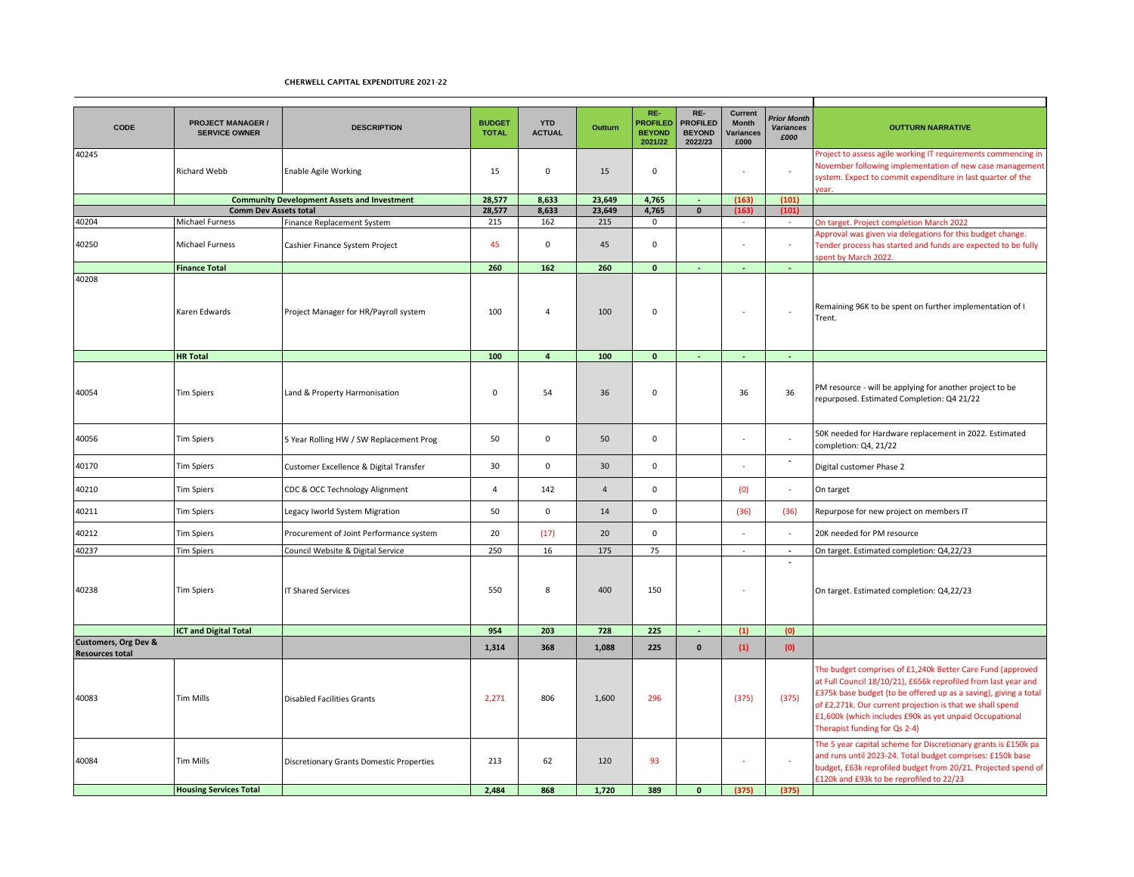| <b>CODE</b>                                    | <b>PROJECT MANAGER /</b><br><b>SERVICE OWNER</b>       | <b>DESCRIPTION</b>                                 | <b>BUDGET</b><br><b>TOTAL</b> | <b>YTD</b><br><b>ACTUAL</b> | Outturn        | RE-<br><b>PROFILED</b><br><b>BEYOND</b><br>2021/22 | RE-<br><b>PROFILED</b><br><b>BEYOND</b><br>2022/23 | Current<br>Month<br>Variances<br>£000 | <b>Prior Month</b><br><b>Variances</b><br>£000 | <b>OUTTURN NARRATIVE</b>                                                                                                                                                                                                                                                                                                                                  |
|------------------------------------------------|--------------------------------------------------------|----------------------------------------------------|-------------------------------|-----------------------------|----------------|----------------------------------------------------|----------------------------------------------------|---------------------------------------|------------------------------------------------|-----------------------------------------------------------------------------------------------------------------------------------------------------------------------------------------------------------------------------------------------------------------------------------------------------------------------------------------------------------|
| 40245                                          | <b>Richard Webb</b>                                    | <b>Enable Agile Working</b>                        | 15                            | 0                           | 15             | 0                                                  |                                                    |                                       | $\sim$                                         | Project to assess agile working IT requirements commencing in<br>November following implementation of new case management<br>system. Expect to commit expenditure in last quarter of the<br>rear.                                                                                                                                                         |
|                                                |                                                        | <b>Community Development Assets and Investment</b> | 28,577                        | 8,633                       | 23,649         | 4,765                                              |                                                    | (163)                                 | (101)                                          |                                                                                                                                                                                                                                                                                                                                                           |
| 40204                                          | <b>Comm Dev Assets total</b><br><b>Michael Furness</b> | Finance Replacement System                         | 28,577<br>215                 | 8,633<br>162                | 23,649<br>215  | 4,765<br>$\mathbf 0$                               | $\mathbf{0}$                                       | (163)                                 | (101)<br>$\sim$                                | On target. Project completion March 2022                                                                                                                                                                                                                                                                                                                  |
| 40250                                          | <b>Michael Furness</b>                                 | Cashier Finance System Project                     | 45                            | $\mathsf 0$                 | 45             | $\mathsf 0$                                        |                                                    |                                       | ÷.                                             | Approval was given via delegations for this budget change.<br>Tender process has started and funds are expected to be fully<br>pent by March 2022.                                                                                                                                                                                                        |
|                                                | <b>Finance Total</b>                                   |                                                    | 260                           | 162                         | 260            | $\mathbf{0}$                                       | G.                                                 | ÷.                                    | ÷.                                             |                                                                                                                                                                                                                                                                                                                                                           |
| 40208                                          | Karen Edwards                                          | Project Manager for HR/Payroll system              | 100                           | $\overline{4}$              | 100            | 0                                                  |                                                    |                                       | $\overline{\phantom{a}}$                       | Remaining 96K to be spent on further implementation of I<br>Trent.                                                                                                                                                                                                                                                                                        |
|                                                | <b>HR Total</b>                                        |                                                    | 100                           | $\overline{4}$              | 100            | $\mathbf{0}$                                       | G.                                                 | ÷.                                    | i.                                             |                                                                                                                                                                                                                                                                                                                                                           |
| 40054                                          | <b>Tim Spiers</b>                                      | Land & Property Harmonisation                      | $\mathbf 0$                   | 54                          | 36             | $\mathsf 0$                                        |                                                    | 36                                    | 36                                             | PM resource - will be applying for another project to be<br>repurposed. Estimated Completion: Q4 21/22                                                                                                                                                                                                                                                    |
| 40056                                          | <b>Tim Spiers</b>                                      | 5 Year Rolling HW / SW Replacement Prog            | 50                            | $\mathsf 0$                 | 50             | 0                                                  |                                                    |                                       | $\sim$                                         | 50K needed for Hardware replacement in 2022. Estimated<br>completion: Q4, 21/22                                                                                                                                                                                                                                                                           |
| 40170                                          | <b>Tim Spiers</b>                                      | Customer Excellence & Digital Transfer             | 30                            | $\mathsf 0$                 | 30             | $\mathsf 0$                                        |                                                    |                                       | $\sim$                                         | Digital customer Phase 2                                                                                                                                                                                                                                                                                                                                  |
| 40210                                          | <b>Tim Spiers</b>                                      | CDC & OCC Technology Alignment                     | $\overline{4}$                | 142                         | $\overline{a}$ | $\mathbf 0$                                        |                                                    | (0)                                   | ÷.                                             | On target                                                                                                                                                                                                                                                                                                                                                 |
| 40211                                          | <b>Tim Spiers</b>                                      | Legacy Iworld System Migration                     | 50                            | $\mathsf 0$                 | 14             | $\mathbf 0$                                        |                                                    | (36)                                  | (36)                                           | Repurpose for new project on members IT                                                                                                                                                                                                                                                                                                                   |
| 40212                                          | <b>Tim Spiers</b>                                      | Procurement of Joint Performance system            | 20                            | (17)                        | 20             | $\mathbf 0$                                        |                                                    |                                       | $\mathcal{L}$                                  | 20K needed for PM resource                                                                                                                                                                                                                                                                                                                                |
| 40237                                          | <b>Tim Spiers</b>                                      | Council Website & Digital Service                  | 250                           | 16                          | 175            | 75                                                 |                                                    | $\sim$                                | $\sim$                                         | On target. Estimated completion: Q4,22/23                                                                                                                                                                                                                                                                                                                 |
| 40238                                          | <b>Tim Spiers</b>                                      | <b>IT Shared Services</b>                          | 550                           | 8                           | 400            | 150                                                |                                                    |                                       | $\blacksquare$                                 | On target. Estimated completion: Q4,22/23                                                                                                                                                                                                                                                                                                                 |
|                                                | <b>ICT and Digital Total</b>                           |                                                    | 954                           | 203                         | 728            | 225                                                | $\sim$                                             | (1)                                   | (0)                                            |                                                                                                                                                                                                                                                                                                                                                           |
| Customers, Org Dev &<br><b>Resources total</b> |                                                        |                                                    | 1,314                         | 368                         | 1,088          | 225                                                | $\mathbf 0$                                        | (1)                                   | (0)                                            |                                                                                                                                                                                                                                                                                                                                                           |
| 40083                                          | <b>Tim Mills</b>                                       | <b>Disabled Facilities Grants</b>                  | 2,271                         | 806                         | 1,600          | 296                                                |                                                    | (375)                                 | (375)                                          | The budget comprises of £1,240k Better Care Fund (approved<br>at Full Council 18/10/21), £656k reprofiled from last year and<br>£375k base budget (to be offered up as a saving), giving a total<br>of £2,271k. Our current projection is that we shall spend<br>£1,600k (which includes £90k as yet unpaid Occupational<br>Therapist funding for Qs 2-4) |
| 40084                                          | <b>Tim Mills</b>                                       | Discretionary Grants Domestic Properties           | 213                           | 62                          | 120            | 93                                                 |                                                    |                                       |                                                | The 5 year capital scheme for Discretionary grants is £150k pa<br>and runs until 2023-24. Total budget comprises: £150k base<br>budget, £63k reprofiled budget from 20/21. Projected spend of<br>£120k and £93k to be reprofiled to 22/23                                                                                                                 |
|                                                | <b>Housing Services Total</b>                          |                                                    | 2,484                         | 868                         | 1,720          | 389                                                | $\mathbf{0}$                                       | (375)                                 | (375)                                          |                                                                                                                                                                                                                                                                                                                                                           |